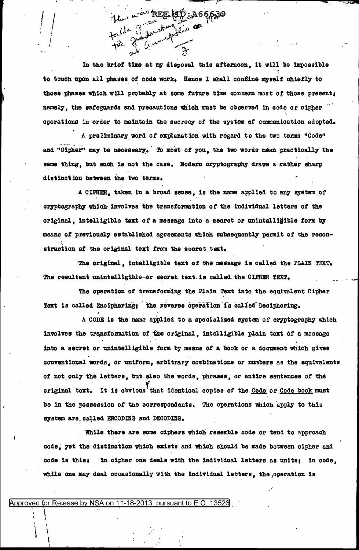In the brief time at my disposal this afternoon, it will be impossible to touch upon all phases of code work. Hence I shall confine myself chiefly to those phases which will probably at some future time concern most of those present; namely, the safeguards and precautions which must be observed in code or cipher operations in order to maintain the secrecy of the system of communication adopted.

ku, u<sup>ras,</sup> REE KID ja666319

talle d'autres de

A preliminary word of explanation with regard to the two terms "Code" and "Cipher" may be necessary. To most of you, the two words mean practically the same thing, but such is not the case. Modern cryptography draws a rather sharp distinction between the two terms.

A CIPHER, taken in a broad sense, is the name applied to any system of oryptography which involves the transformation of the individual letters of the original, intelligible text of a message into a secret or unintelligible form by means of previously established agreements which subsequently permit of the reconstruction of the original text from the secret text.

The original, intelligible text of the message is called the PLAIN TEXT. The resultant unintelligible-or secret text is called the CIPHER TEXT.

The operation of transforming the Plain Text into the equivalent Cipher Text is called Enciphering; the reverse operation is called Deciphering.

A CODE is the name applied to a specialized system of cryptography which involves the transformation of the original, intelligible plain text of a message into a secret or unintelligible form by means of a book or a document which gives conventional words, or uniform, arbitrary combinations or numbers as the equivalents of not only the letters, but also the words, phrases, or entire sentences of the original text. It is obvious that identical copies of the Code or Code book must be in the possession of the correspondents. The operations which apply to this system are called ENCODING and DECODING.

While there are some ciphers which resemble code or tend to approach code, yet the distinction which exists and which should be made between cipher and in cipher one deals with the individual letters as units; in code. code is this: while one may deal occasionally with the individual letters, the operation is

Approved for Release by NSA on 11-18-2013 pursuant to E.O. 13526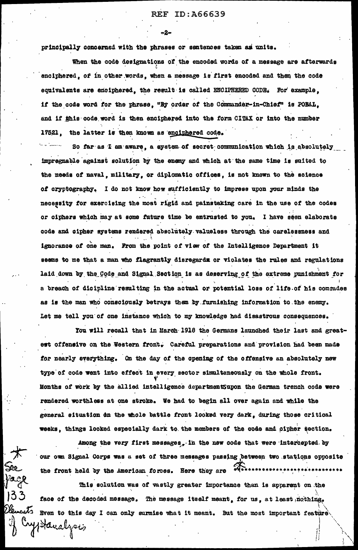principally concerned with the phrases or sentences taken as units.

When the code designations of the encoded words of a message are afterwards enciphered, of in other words, when a message is first encoded and then the code equivalents are enciphered, the result is called ENCIPHERED CODE. For example, if the code word for the phrase. "By order of the Commander-in-Chief" is POBAL. and if this code word is then enciphered into the form CITAX or into the number 17521, the latter is then known as enciphered code.

So far as I am aware, a system of secret communication which is absolutely impregnable against solution by the enemy and which at the same time is suited to the needs of naval, military, or diplomatic offices, is not known to the science of cryptography. I do not know how sufficiently to impress upon your minds the necessity for exercising the most rigid and painstaking care in the use of the codes or ciphers which may at some future time be entrusted to you. I have seen elaborate code and cipher systems rendered absolutely valueless through the carelessness and ignorance of one man. From the point of view of the Intelligence Department it seems to me that a man who flagrantly disregards or violates the rules and regulations laid down by the Code and Signal Section is as deserving of the extreme punishment for a breach of dicipline resulting in the actual or potential loss of life of his comrades as is the man who consciously betrays them by furnishing information to the enemy. Let me tell you of one instance which to my knowledge had disastrous consequences.

You will recall that in March 1918 the Germans launched their last and greatest offensive on the Western front. Careful preparations and provision had been made for nearly everything. On the day of the opening of the offensive an absolutely new type of code went into effect in every sector simultaneously on the whole front. Months of work by the allied intelligence departmentSupon the German trench code were rendered worthless at one stroke. We had to begin all over again and while the general situation on the whole battle front looked very dark, during those critical weeks, things looked especially dark to the members of the code and oipher section.

Among the very first messages, in the new code that were intercepted by our own Signal Corps was a set of three messages passing between two stations opposite the front held by the American forces. Here they are with

This solution was of vastly greater importance than is apparent on the face of the decoded message. The message itself meant, for us, at least nothing.  $\epsilon$ uto Even to this day I can only surmise what it meant. But the most important feature Haralzois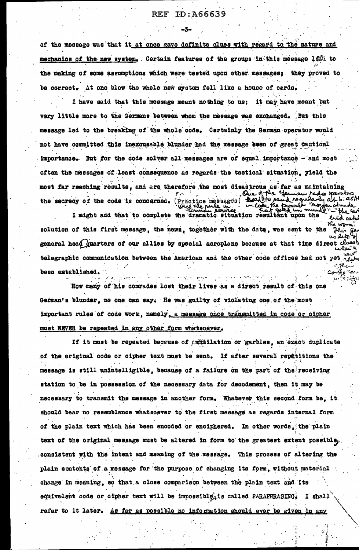## **REF ID:A66639**

of the message was that it at once gave definite clues with regard to the nature and mechanics of the new system, Certain features of the groups in this message led: to the making of some assumptions which were tested upon other messages; they proved to be correct. At one blow the whole new system fell like a house of cards.

I have said that this message meant nothing to us; it may have meant but very little more to the Germans between whom the message was exchanged. But this message led to the breaking of the whole code. Cartainly the German operator would not have committed this inexcusable blunder had the message even of great tactical importance. But for the code solver all messages are of equal importance - and most often the messages of least consequence as regards the tactical situation, yield the most far reaching results, and are therefore the most disastrous as far as maintaining the secrecy of the code is concerned. (Practice messages)

I might add that to complete the dramatic situation resultant upon the ል ຜ solution of this first message, the news, together with the date, was sent to the وضعط جمعا general head quarters of our allies by special aeroplane because at that time direct cluse telegraphic communication between the American and the other code offices had not yet been extablished.

**Contract** 

How many of his comrades lost their lives as a direct result of this one German's blunder, no one can say. He was guilty of violating one of the most important rules of code work, namely, a message once transmitted in code or cipher must NEVER be repeated in any other form whatsoever.

If it must be repeated because of produilation or garbles, an exact duplicate of the original code or cipher text must be sent. If after several repriitions the message is still unintelligible, because of a failure on the part of the receiving station to be in possession of the necessary data for decodement, then it may be necessary to transmit the message in another form. Whatever this second form be, it. should bear no resemblance whatsoever to the first message as regards internal form of the plain text which has been encoded or enciphered. In other words, the plain text of the original message must be altered in form to the greatest extent possible, consistent with the intent and meaning of the message. This process of altering the plain contents of a message for the purpose of changing its form, without material change in meaning, so that a close comparison between the plain text and its equivalent code or oipher text will be impossible, is called PARAPHRASING. I shall refer to it later. As far as possible no information should ever be given in any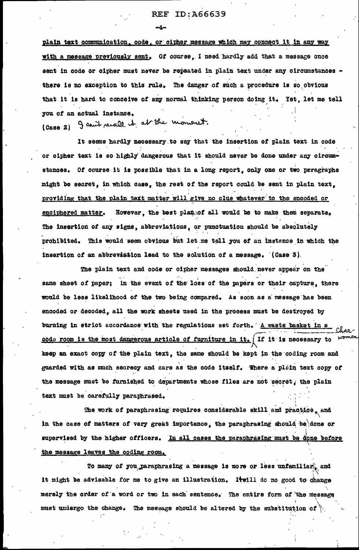# **REF ID:A66639**

plain text communication, code, or cipher message which may connect it in any way with a message previously sent. Of course, I need hardly add that a message once sent in code or cipher must never be repeated in plain text under any circumstances there is no exception to this rule. The danger of such a procedure is so obvious that it is hard to conceive of any normal thinking person doing it. Yet, let me tell you of an actual instance. (Caso 2) I count recall it at the moment.

It seems hardly necessary to say that the insertion of plain text in code or cipher text is so highly dangerous that it should never be done under any circumstances. Of course it is possible that in a long report, only one or two prragraphs might be secret, in which case, the rest of the report could be sent in plain text, providing that the plain text matter will give no clue whatever to the encoded or However, the best plan of all would be to make them separate. enciphered matter. The insertion of any signs, abbreviations, or punctuation should be absolutely prohibited. This would seem obvious but let me tell you of an instance in which the insertion of an abbrevistion lead to the solution of a message. (Case 3).

The plain text and code or cipher messages should never appear on the same sheet of paper; in the event of the loss of the papers or their capture, there would be less likelihood of the two being compared. As soon as a message has been encoded or decoded, all the work sheets used in the process must be destroyed by burning in strict accordance with the regulations set forth. A waste basket in a code room is the most dangerous article of furniture in it.  $\int$  If it is necessary to keep an exact copy of the plain text, the same should be kept in the coding room and guarded with as much secrecy and care as the code itself. Where a plain text copy of the message must be furnished to departments whose files are not secret, the plain text must be carefully paraphrased.

The work of paraphresing requires considerable skill and practice, and in the case of matters of very great importance, the paraphrasing should be done or supervised by the higher officers. In all cases the paraphrasing must be done before the message leaves the coding room.

To many of you paraphrasing a message is more or less unfamiliar, and it might be advisable for me to give an illustration. It will do no good to change merely the order of a word or two in each sentence. The entire form of the message must undergo the change. The message should be altered by the substitution of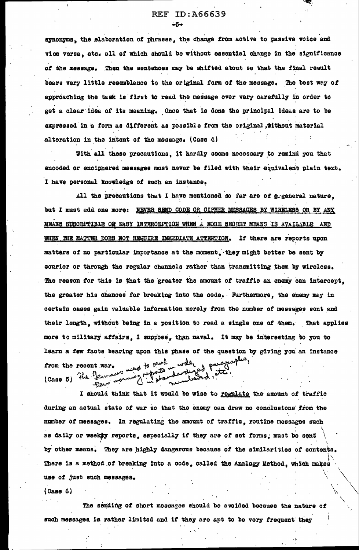# **REF ID:A66639**

synonyms, the elaboration of phrases, the change from active to passive voice and vice versa, atc. all of which should be without essential change in the significance of the message. Then the sentences may be shifted about so that the final result bears very little resemblance to the original form of the message. The best way of approaching the task is first to read the message over very carefully in order to get a clear idea of its meaning. Once that is done the principal ideas are to be expressed in a form as different as possible from the original , tithout material alteration in the intent of the message. (Case 4)

With all these precautions, it hardly seems necessary to remind you that encoded or enciphered messages must never be filed with their equivalent plain text. I have personal knowledge of such an instance.

All the precautions that I have mentioned so far are of grgeneral nature. but I must add one more: NEVER SEND CODE OR CIPHER MESSAGES BY WIRELESS OR BY ANY MEANS SUSCEPTIBLE OF EASY INTERCEPTION WHEN A MORE SECRET MEANS IS AVAILABLE AND WHEN THE MATTER DOES NOT REQUIRE IMMEDIATE ATTENTION. If there are reports upon matters of no particular importance at the moment, they might better be sent by courier or through the regular channels rather than transmitting them by wireless. The reason for this is that the greater the amount of traffic an enemy can intercept. the greater his chances for breaking into the code. Furthermore, the enemy may in certain cases gain valuable information merely from the number of messages sont and their length, without being in a position to read a single one of them. That applies more to military affairs. I suppose, than naval. It may be interesting to you to learn a few facts bearing upon this phase of the question by giving you an instance was to park water paragraphes, from the recent war. (Caso 5) the Gen

I should think that it would be wise to regulate the amount of traffic during an actual state of war so that the enemy can draw no conclusions from the number of messages. In regulating the amount of traffic, routine messages such as daily or weekly reports, especially if they are of set forms, must be sent by other means. They are highly dangerous because of the similarities of contents. There is a method of breaking into a code, called the Analogy Method, which makes use of just such messages.

 $(Case 6)$ 

The sending of short messages should be avoided because the nature of such messages is rather limited and if they are apt to be very frequent they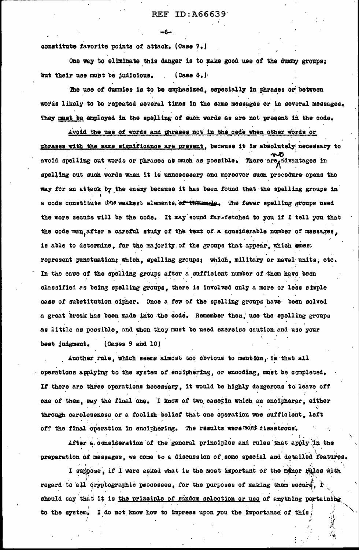constitute favorite points of attack. (Case 7.)

One way to eliminate this danger is to make good use of the dummy groups: but their use must be judicious.  $(Case 8.$ 

—na

The use of dumnies is to be emphasized, especially in phrases or between words likely to be repeated several times in the same messages or in several messages. They must be employed in the spelling of such words as are not present in the code.

Avoid the use of words and phrases not in the code when other words or phrases with the same significance are present, because it is absolutely necessary to avoid spelling out words or phrases as much as possible. There are advantages in spelling out such words when it is unnecessary and moreover such procedure opens the way for an attack by the enemy because it has been found that the spelling groups in a code constitute that weakest elements of the ands. The fewer spelling groups used the more secute will be the code. It may sound far-fetched to you if I tell you that the code man after a careful study of the text of a considerable number of massages. is able to determine, for the majority of the groups that appear, which cress represent punctuation; which, spelling groups; which, military or naval units, etc. In the case of the spelling groups after a sufficient number of them have been classified as being spelling groups, there is involved only a more or less simple case of substitution cipher. Once a few of the spelling groups have been solved a great break has been made into the code. Remember then, use the spelling groups as little as possible, and when they must be used exercise caution and use your best judgment.  $(0a$ ses 9 and 10)

Another rule, which seems almost too obvious to mention, is that all operations applying to the system of enciphering, or encoding, must be completed. If there are three operations necessary, it would be highly dangerous to leave off one of them, say the final one. I know of two cases in which an encipherer, either through carelessness or a foolish belief that one operation was sufficient. left off the final operation in enciphering. The results were most disastrous.

After a consideration of the general principles and rules that apply in the preparation of messages. we come to a discussion of some special and detailed features.

I suppose. if I were asked what is the most important of the manor rules with regard to all cryptographic psocesses, for the purposes of making them secure. I should say that it is the principle of random selection or use of anything pertaining to the system. I do not know how to impress upon you the importance of this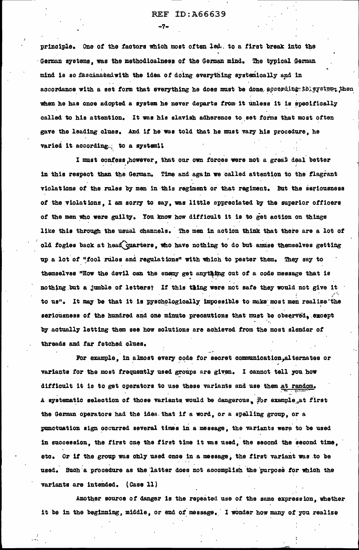$-7-$ 

principle. One of the factors which most often led. to a first break into the German systems, was the methodicalness of the German mind. The typical German mind is so fascinated with the idea of doing everything systemically and in ascordance with a set form that everything he does must be done according to system; then when he has once adopted a system he never departs from it unless it is specifically called to his attention. It was his slavish adherence to set forms that most often gave the leading clues. And if he was told that he must vary his procedure, he varied it according. to a system!!

I must confess however, that our own forces were not a great deal better in this respect than the German. Time and again we called attention to the flagrant violations of the rules by men in this regiment or that regiment. But the seriousness of the violations. I am sorry to say, was little appreciated by the superior officers of the men who were guilty. You know how difficult it is to get action on things like this through the usual channels. The men in action think that there are a lot of old fogies back at head quarters, who have nothing to do but amuse themselves getting up a lot of "fool rules and regulations" with which to peater them. They say to themselves "How the devil can the enemy get anything out of a code message that is nothing but a jumble of letters? If this thing were not safe they would not give it to us". It may be that it is pyschologically impossible to make most men realize the seriousness of the hundred and one minute precautions that must be observed, except by actually letting them see how solutions are achieved from the most slender of threads and far fetched clues.

For example, in almost every code for secret communication, alternates or variants for the most frequently used groups are given. I cannot tell you how difficult it is to get operators to use these variants and use them at random. A systematic selection of those variants would be dangerous. For example at first the German operators had the idea that if a word, or a spelling group, or a punctuation sign occurred several times in a message, the variants were to be used in succession, the first one the first time it was used, the second the second time. etc. Or if the group was only used once in a message, the first variant was to be used. Such a procedure as the latter does not accomplish the purpose for which the variants are intended. (Case 11)

Another source of danger is the repeated use of the same expression, whether it be in the beginning, middle, or end of message. I wonder how many of you realize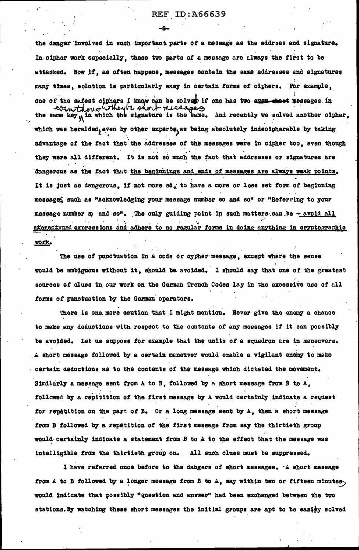-8-

the danger involved in such important parts of a message as the address and signature. In cipher work especially, these two parts of a message are always the first to be attacked. Now if, as often happens, messages contain the same addresses and signatures many times. solution is particularly easy in certain forms of ciphers. For example,

one of the safest ciphers I know can be solved if one has two even sheet messages in responsive short messs the same key  $\hat{M}$  in which the signature is the same. And recently we solved another cipher. which was heralded, even by other experts, as being absolutely indecipherable by taking advantage of the fact that the addresses of the messages were in cipher too, even though they were all different. It is not so much the fact that addresses or signatures are dangerous as the fact that the beginnings and ends of messages are always weak points. It is just as dangerous, if not more so, to have a more or less set form of beginning message such as "Acknowledging your message number so and so" or "Referring to your message number sp and so". The only guiding point in such matters can be - avoid all atementyped expressions and adhere to no regular forms in doing anything in cryptographic <u>work.</u>

The use of punctuation in a code or cypher message, except where the sense would be ambiguous without it, should be avoided. I should say that one of the greatest sources of clues in our work on the German Trench Codes lay in the excessive use of all forms of punctuation by the German operators.

There is one more caution that I might mention. Never give the enemy a chance to make any deductions with respect to the contents of any messages if it can possibly be avoided. Let us suppose for example that the units of a squadron are in maneuvers. A short message followed by a certain maneuver would enable a vigilant enemy to make certain deductions as to the contents of the message which dictated the movement. Similarly a message sent from A to B. followed by a short message from B to A. followed by a repitition of the first message by A would certainly indicate a request for repetition on the part of B. Or a long message sent by A, then a short message from B followed by a repêtition of the first message from say the thirtieth group would certainly indicate a statement from B to A to the effect that the message was intelligible from the thirtieth group on. All such clues must be suppressed.

I have referred once before to the dangers of short messages. A short message from A to B followed by a longer message from B to  $A$ , say within ten or fifteen minutes<sub>)</sub> would indicate that possibly "question and answer" had been exchanged between the two stations. By watching these short messages the initial groups are apt to be easly solved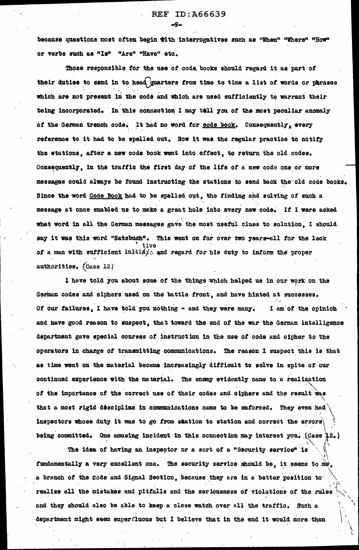because questions most often begin with interrogatives such as "When" "Where" "How" or verbs such as "Is" "Are" "Have" etc.

Those responsible for the use of code, books should regard it as part of their duties to send in to head guarters from time to time a list of words or phrases which are not present in the code and which are used sufficiently to warrant their being incorporated. In this connection I may tell you of the most peculiar anomaly of the German trench code. It had no word for code book. Consequently, every reference to it had to be spelled out. Now it was the regular practice to notify the stations, after a new code book went into effect, to return the old codes. Consequently, in the traffic the first day of the life of a new code one or more messages could always be found instructing the stations to send back the old code books. Since the word Code Book had to be spelled out, the finding and solving of such a message at once enabled us to make a great hole into every new code. If I were asked what word in all the German messages gave the most useful clues to solution. I should say it was this word "Satzbuch". This went on for over two years-all for the lack of a man with sufficient initial and regard for his duty to inform the proper authorities. (Case 12)

I have told you about some of the things which helped us in our work on the German codes and ciphers used on the battle front, and have hinted at successes. Of our failures, I have told you nothing - and they were many. I am of the opinion and have good reason to suspect, that toward the end of the war the German intelligence department gave special courses of instruction in the use of code and cipher to the operators in charge of transmitting communications. The reason I suspect this is that as time went on the material became increasingly difficult to solve in spite of our continued experience with the material. The enemy evidently came to a realization of the importance of the correct use of their codes and ciphers and the result was that a most rigid descipline in communications came to be enforced. They even had inspectors whose duty it was to go from station to station and correct the errors) being committed. One amusing incident in this connection may interest you. (Case 12.)

The idea of having an inspector or a sort of a "Security service" is fundamentally a very excellent one. The security service should be, it seems to me. a branch of the Code and Signal Section, because they are in a better position to realize all the mistakes and pitfalls and the seriousness of violations of the rules and they should also be able to keep a close watch over all the traffic. Such a department might seem superfluous but I believe that in the end it would more than